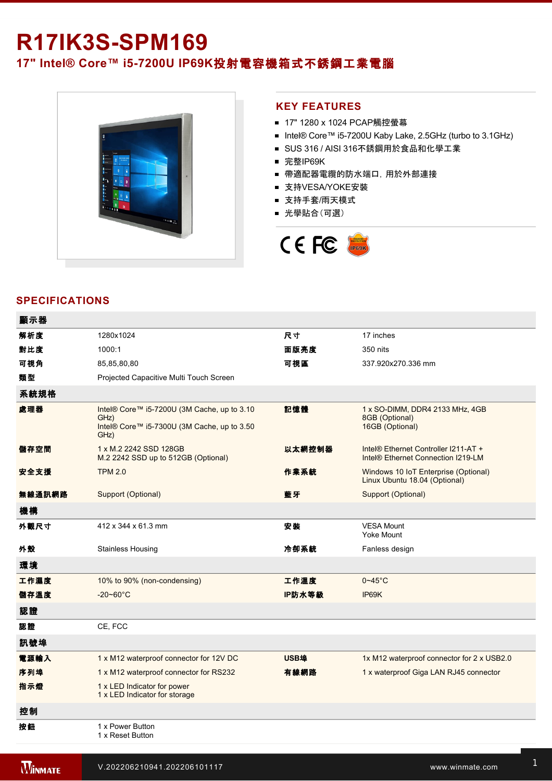# **R17IK3S-SPM169**

**17" Intel® Core™ i57200U IP69K**投射電容機箱式不銹鋼工業電腦



### **KEY FEATURES**

- 17" 1280 x 1024 PCAP觸控螢幕
- Intel® Core™ i5-7200U Kaby Lake, 2.5GHz (turbo to 3.1GHz)
- SUS 316 / AISI 316不銹鋼用於食品和化學工業
- 完整IP69K
- 帶適配器電纜的防水端口, 用於外部連接
- 支持VESA/YOKE安裝
- 支持手套/雨天模式
- 光學貼合(可選)



## **SPECIFICATIONS**

顯示器

| 顯不器    |                                                                                                            |        |                                                                                        |
|--------|------------------------------------------------------------------------------------------------------------|--------|----------------------------------------------------------------------------------------|
| 解析度    | 1280x1024                                                                                                  | 尺寸     | 17 inches                                                                              |
| 對比度    | 1000:1                                                                                                     | 面版亮度   | 350 nits                                                                               |
| 可視角    | 85,85,80,80                                                                                                | 可視區    | 337.920x270.336 mm                                                                     |
| 類型     | Projected Capacitive Multi Touch Screen                                                                    |        |                                                                                        |
| 系統規格   |                                                                                                            |        |                                                                                        |
| 處理器    | Intel® Core™ i5-7200U (3M Cache, up to 3.10<br>GHz)<br>Intel® Core™ i5-7300U (3M Cache, up to 3.50<br>GHz) | 記憶體    | 1 x SO-DIMM, DDR4 2133 MHz, 4GB<br>8GB (Optional)<br>16GB (Optional)                   |
| 儲存空間   | 1 x M.2 2242 SSD 128GB<br>M.2 2242 SSD up to 512GB (Optional)                                              | 以太網控制器 | Intel® Ethernet Controller I211-AT +<br>Intel <sup>®</sup> Ethernet Connection I219-LM |
| 安全支援   | <b>TPM 2.0</b>                                                                                             | 作業系統   | Windows 10 IoT Enterprise (Optional)<br>Linux Ubuntu 18.04 (Optional)                  |
| 無線通訊網路 | Support (Optional)                                                                                         | 藍牙     | Support (Optional)                                                                     |
| 機構     |                                                                                                            |        |                                                                                        |
| 外觀尺寸   | 412 x 344 x 61.3 mm                                                                                        | 安装     | <b>VESA Mount</b><br>Yoke Mount                                                        |
| 外殼     | <b>Stainless Housing</b>                                                                                   | 冷卻系統   | Fanless design                                                                         |
| 環境     |                                                                                                            |        |                                                                                        |
| 工作濕度   | 10% to 90% (non-condensing)                                                                                | 工作溫度   | $0 - 45$ °C                                                                            |
| 儲存溫度   | $-20 - 60^{\circ}$ C                                                                                       | IP防水等級 | IP69K                                                                                  |
| 認證     |                                                                                                            |        |                                                                                        |
| 認證     | CE, FCC                                                                                                    |        |                                                                                        |
| 訊號埠    |                                                                                                            |        |                                                                                        |
| 電源輸入   | 1 x M12 waterproof connector for 12V DC                                                                    | USB埠   | 1x M12 waterproof connector for 2 x USB2.0                                             |
| 序列埠    | 1 x M12 waterproof connector for RS232                                                                     | 有線網路   | 1 x waterproof Giga LAN RJ45 connector                                                 |
| 指示燈    | 1 x LED Indicator for power<br>1 x LED Indicator for storage                                               |        |                                                                                        |
| 控制     |                                                                                                            |        |                                                                                        |
| 按鈕     | 1 x Power Button<br>1 x Reset Button                                                                       |        |                                                                                        |

配件